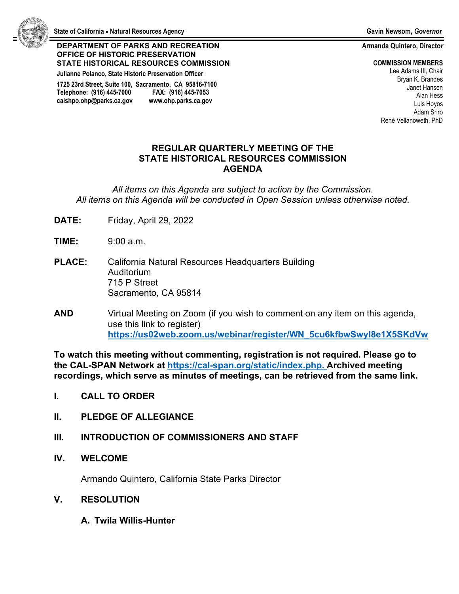

#### **DEPARTMENT OF PARKS AND RECREATION OFFICE OF HISTORIC PRESERVATION STATE HISTORICAL RESOURCES COMMISSION**

**Julianne Polanco, State Historic Preservation Officer** 

**1725 23rd Street, Suite 100, Sacramento, CA 95816-7100 Telephone: (916) 445-7000 FAX: (916) 445-7053 calshpo.ohp@parks.ca.gov www.ohp.parks.ca.gov** 

#### **Armanda Quintero, Directo***r*

**COMMISSION MEMBERS**

Lee Adams III, Chair Bryan K. Brandes Janet Hansen Alan Hess Luis Hoyos Adam Sriro René Vellanoweth, PhD

#### **REGULAR QUARTERLY MEETING OF THE STATE HISTORICAL RESOURCES COMMISSION AGENDA**

*All items on this Agenda are subject to action by the Commission. All items on this Agenda will be conducted in Open Session unless otherwise noted.*

- **DATE:** Friday, April 29, 2022
- **TIME:** 9:00 a.m.
- **PLACE:** California Natural Resources Headquarters Building Auditorium 715 P Street Sacramento, CA 95814
- **AND** Virtual Meeting on Zoom (if you wish to comment on any item on this agenda, use this link to register) **[https://us02web.zoom.us/webinar/register/WN\\_5cu6kfbwSwyI8e1X5SKdVw](https://gcc02.safelinks.protection.outlook.com/?url=https%3A%2F%2Fus02web.zoom.us%2Fwebinar%2Fregister%2FWN_5cu6kfbwSwyI8e1X5SKdVw&data=04%7C01%7CAmy.Crain%40parks.ca.gov%7C49dba05149ab4905c5b608da1b4f0441%7C06fd3d24656448018226b407c4d26b68%7C0%7C0%7C637852323440282052%7CUnknown%7CTWFpbGZsb3d8eyJWIjoiMC4wLjAwMDAiLCJQIjoiV2luMzIiLCJBTiI6Ik1haWwiLCJXVCI6Mn0%3D%7C3000&sdata=PUegjq%2FIg7HJeWNyUldT%2BdT6AjnxJo5BckDAmgOxSOM%3D&reserved=0)**

**To watch this meeting without commenting, registration is not required. Please go to the CAL-SPAN Network at [https://cal-span.org/static/index.php.](https://cal-span.org/static/index.php) Archived meeting recordings, which serve as minutes of meetings, can be retrieved from the same link.** 

- **I. CALL TO ORDER**
- **II. PLEDGE OF ALLEGIANCE**
- **III. INTRODUCTION OF COMMISSIONERS AND STAFF**
- **IV. WELCOME**

Armando Quintero, California State Parks Director

#### **V. RESOLUTION**

**A. Twila Willis-Hunter**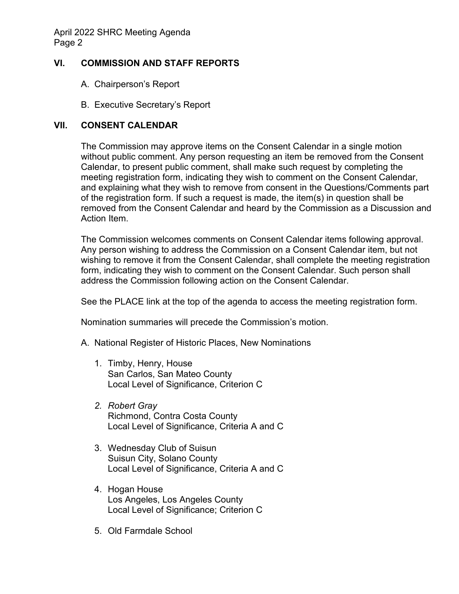April 2022 SHRC Meeting Agenda Page 2

## **VI. COMMISSION AND STAFF REPORTS**

- A. Chairperson's Report
- B. Executive Secretary's Report

### **VII. CONSENT CALENDAR**

The Commission may approve items on the Consent Calendar in a single motion without public comment. Any person requesting an item be removed from the Consent Calendar, to present public comment, shall make such request by completing the meeting registration form, indicating they wish to comment on the Consent Calendar, and explaining what they wish to remove from consent in the Questions/Comments part of the registration form. If such a request is made, the item(s) in question shall be removed from the Consent Calendar and heard by the Commission as a Discussion and Action Item.

The Commission welcomes comments on Consent Calendar items following approval. Any person wishing to address the Commission on a Consent Calendar item, but not wishing to remove it from the Consent Calendar, shall complete the meeting registration form, indicating they wish to comment on the Consent Calendar. Such person shall address the Commission following action on the Consent Calendar.

See the PLACE link at the top of the agenda to access the meeting registration form.

Nomination summaries will precede the Commission's motion.

- A. National Register of Historic Places, New Nominations
	- 1. Timby, Henry, House San Carlos, San Mateo County Local Level of Significance, Criterion C
	- *2. Robert Gray* Richmond, Contra Costa County Local Level of Significance, Criteria A and C
	- 3. Wednesday Club of Suisun Suisun City, Solano County Local Level of Significance, Criteria A and C
	- 4. Hogan House Los Angeles, Los Angeles County Local Level of Significance; Criterion C
	- 5. Old Farmdale School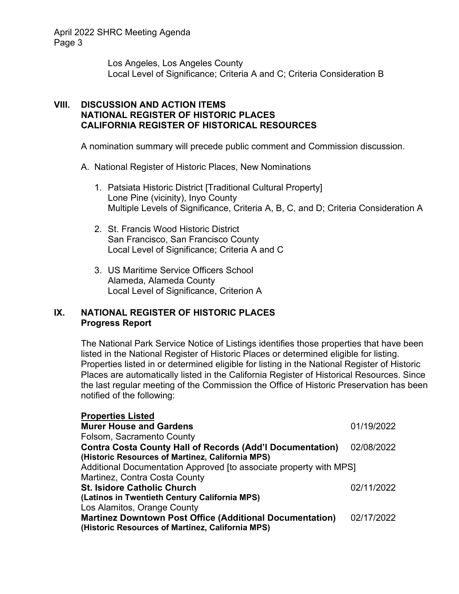April 2022 SHRC Meeting Agenda Page 3

> Los Angeles, Los Angeles County Local Level of Significance; Criteria A and C; Criteria Consideration B

## **VIII. DISCUSSION AND ACTION ITEMS NATIONAL REGISTER OF HISTORIC PLACES CALIFORNIA REGISTER OF HISTORICAL RESOURCES**

A nomination summary will precede public comment and Commission discussion.

- A. National Register of Historic Places, New Nominations
	- 1. Patsiata Historic District [Traditional Cultural Property] Lone Pine (vicinity), Inyo County Multiple Levels of Significance, Criteria A, B, C, and D; Criteria Consideration A
	- 2. St. Francis Wood Historic District San Francisco, San Francisco County Local Level of Significance; Criteria A and C
	- 3. US Maritime Service Officers School Alameda, Alameda County Local Level of Significance, Criterion A

## **IX. NATIONAL REGISTER OF HISTORIC PLACES Progress Report**

The National Park Service Notice of Listings identifies those properties that have been listed in the National Register of Historic Places or determined eligible for listing. Properties listed in or determined eligible for listing in the National Register of Historic Places are automatically listed in the California Register of Historical Resources. Since the last regular meeting of the Commission the Office of Historic Preservation has been notified of the following:

| <b>Properties Listed</b>                                           |            |
|--------------------------------------------------------------------|------------|
| <b>Murer House and Gardens</b>                                     | 01/19/2022 |
| Folsom, Sacramento County                                          |            |
| <b>Contra Costa County Hall of Records (Add'l Documentation)</b>   | 02/08/2022 |
| (Historic Resources of Martinez, California MPS)                   |            |
| Additional Documentation Approved [to associate property with MPS] |            |
| Martinez, Contra Costa County                                      |            |
| <b>St. Isidore Catholic Church</b>                                 | 02/11/2022 |
| (Latinos in Twentieth Century California MPS)                      |            |
| Los Alamitos, Orange County                                        |            |
| <b>Martinez Downtown Post Office (Additional Documentation)</b>    | 02/17/2022 |
| (Historic Resources of Martinez, California MPS)                   |            |